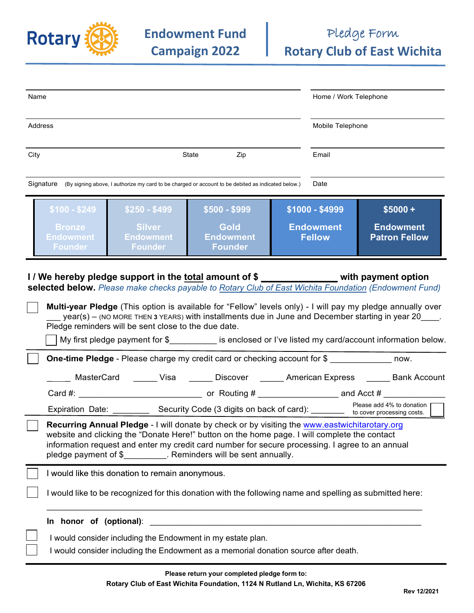

| Name                                                                                                                                                                                                                                                                                                                                                                                                                                                                                                                                                                                      |                                                                                                                                                                                                                                                                                                        | Home / Work Telephone                                |                                                       |
|-------------------------------------------------------------------------------------------------------------------------------------------------------------------------------------------------------------------------------------------------------------------------------------------------------------------------------------------------------------------------------------------------------------------------------------------------------------------------------------------------------------------------------------------------------------------------------------------|--------------------------------------------------------------------------------------------------------------------------------------------------------------------------------------------------------------------------------------------------------------------------------------------------------|------------------------------------------------------|-------------------------------------------------------|
| Address                                                                                                                                                                                                                                                                                                                                                                                                                                                                                                                                                                                   |                                                                                                                                                                                                                                                                                                        | Mobile Telephone                                     |                                                       |
| City                                                                                                                                                                                                                                                                                                                                                                                                                                                                                                                                                                                      | Zip<br>State                                                                                                                                                                                                                                                                                           | Email                                                |                                                       |
| Signature (By signing above, I authorize my card to be charged or account to be debited as indicated below.)<br>Date                                                                                                                                                                                                                                                                                                                                                                                                                                                                      |                                                                                                                                                                                                                                                                                                        |                                                      |                                                       |
|                                                                                                                                                                                                                                                                                                                                                                                                                                                                                                                                                                                           | $$100 - $249$<br>$$250 - $499$<br>$$500 - $999$<br><b>Silver</b><br><b>Gold</b><br><b>Bronze</b><br><b>Endowment</b><br><b>Endowment</b><br>Endowment <b>i</b><br><b>Founder</b><br><b>Founder</b><br><b>Founder</b>                                                                                   | \$1000 - \$4999<br><b>Endowment</b><br><b>Fellow</b> | $$5000 +$<br><b>Endowment</b><br><b>Patron Fellow</b> |
| I/We hereby pledge support in the total amount of \$ _____________ with payment option<br>selected below. Please make checks payable to Rotary Club of East Wichita Foundation (Endowment Fund)<br>Multi-year Pledge (This option is available for "Fellow" levels only) - I will pay my pledge annually over<br>year(s) - (NO MORE THEN 3 YEARS) with installments due in June and December starting in year 20____.<br>Pledge reminders will be sent close to the due date.<br>My first pledge payment for \$____________ is enclosed or I've listed my card/account information below. |                                                                                                                                                                                                                                                                                                        |                                                      |                                                       |
|                                                                                                                                                                                                                                                                                                                                                                                                                                                                                                                                                                                           | One-time Pledge - Please charge my credit card or checking account for \$                                                                                                                                                                                                                              |                                                      |                                                       |
|                                                                                                                                                                                                                                                                                                                                                                                                                                                                                                                                                                                           | _____ MasterCard  ______ Visa  ______ Discover  ______ American Express  ______ Bank Account<br>Expiration Date: _____________ Security Code (3 digits on back of card): Please add 4% to donation                                                                                                     |                                                      | Please add 4% to donation                             |
| Recurring Annual Pledge - I will donate by check or by visiting the www.eastwichitarotary.org<br>website and clicking the "Donate Here!" button on the home page. I will complete the contact<br>information request and enter my credit card number for secure processing. I agree to an annual<br>pledge payment of \$____________. Reminders will be sent annually.                                                                                                                                                                                                                    |                                                                                                                                                                                                                                                                                                        |                                                      |                                                       |
|                                                                                                                                                                                                                                                                                                                                                                                                                                                                                                                                                                                           | I would like this donation to remain anonymous.<br>I would like to be recognized for this donation with the following name and spelling as submitted here:                                                                                                                                             |                                                      |                                                       |
|                                                                                                                                                                                                                                                                                                                                                                                                                                                                                                                                                                                           | In honor of (optional):<br><u> 1980 - Jan James James, martin de la populación de la propia de la propia de la propia de la propia de la pro</u><br>I would consider including the Endowment in my estate plan.<br>I would consider including the Endowment as a memorial donation source after death. |                                                      |                                                       |